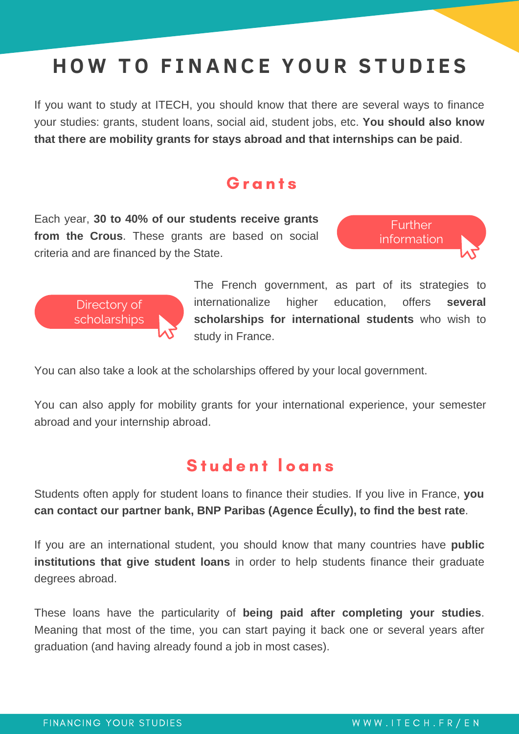# **HO W T O F INANC E Y O U R S T U D I E S**

If you want to study at ITECH, you should know that there are several ways to finance your studies: grants, student loans, social aid, student jobs, etc. **You should also know that there are mobility grants for stays abroad and that internships can be paid**.

#### **G** r a n t s

Each year, **30 to 40% of our students receive grants from the Crous**. These grants are based on social criteria and are financed by the State.



The French government, as part of its strategies to internationalize higher education, offers **several scholarships for international students** who wish to study in France.

Further [information](https://www.etudiant.gouv.fr/fr/bourse-et-logement-constituez-votre-dossier-social-etudiant-dse-409)

You can also take a look at the scholarships offered by your local government.

You can also apply for mobility grants for your international experience, your semester abroad and your internship abroad.

#### Student loans

Students often apply for student loans to finance their studies. If you live in France, **you can contact our partner bank, BNP Paribas (Agence Écully), to find the best rate**.

If you are an international student, you should know that many countries have **public institutions that give student loans** in order to help students finance their graduate degrees abroad.

These loans have the particularity of **being paid after completing your studies**. Meaning that most of the time, you can start paying it back one or several years after graduation (and having already found a job in most cases).